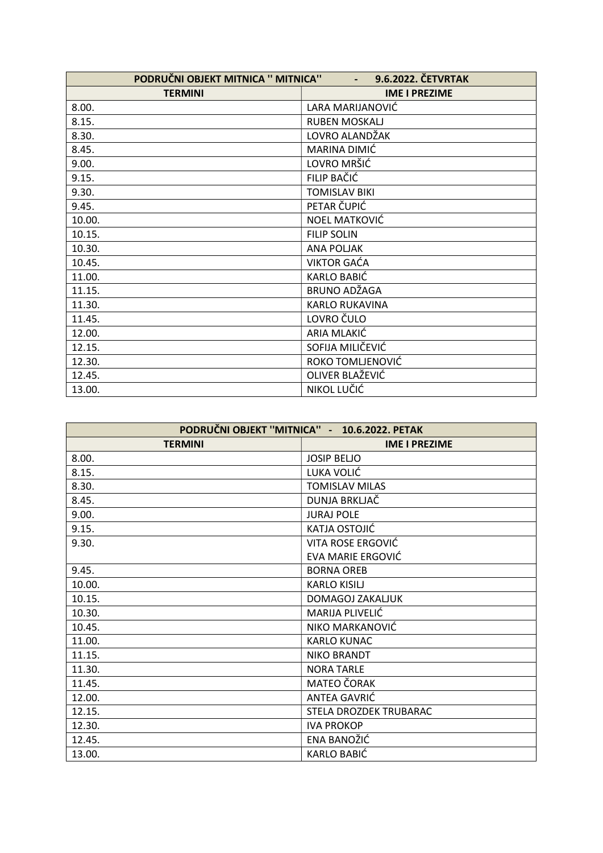| PODRUČNI OBJEKT MITNICA " MITNICA"<br>9.6.2022. ČETVRTAK |                       |
|----------------------------------------------------------|-----------------------|
| <b>TERMINI</b>                                           | <b>IME I PREZIME</b>  |
| 8.00.                                                    | LARA MARIJANOVIĆ      |
| 8.15.                                                    | <b>RUBEN MOSKALJ</b>  |
| 8.30.                                                    | LOVRO ALANDŽAK        |
| 8.45.                                                    | MARINA DIMIĆ          |
| 9.00.                                                    | LOVRO MRŠIĆ           |
| 9.15.                                                    | FILIP BAČIĆ           |
| 9.30.                                                    | <b>TOMISLAV BIKI</b>  |
| 9.45.                                                    | PETAR ČUPIĆ           |
| 10.00.                                                   | NOEL MATKOVIĆ         |
| 10.15.                                                   | <b>FILIP SOLIN</b>    |
| 10.30.                                                   | <b>ANA POLJAK</b>     |
| 10.45.                                                   | <b>VIKTOR GAĆA</b>    |
| 11.00.                                                   | <b>KARLO BABIĆ</b>    |
| 11.15.                                                   | BRUNO ADŽAGA          |
| 11.30.                                                   | <b>KARLO RUKAVINA</b> |
| 11.45.                                                   | LOVRO ČULO            |
| 12.00.                                                   | ARIA MLAKIĆ           |
| 12.15.                                                   | SOFIJA MILIČEVIĆ      |
| 12.30.                                                   | ROKO TOMLJENOVIĆ      |
| 12.45.                                                   | OLIVER BLAŽEVIĆ       |
| 13.00.                                                   | NIKOL LUČIĆ           |

| PODRUČNI OBJEKT "MITNICA" - 10.6.2022. PETAK |                          |
|----------------------------------------------|--------------------------|
| <b>TERMINI</b>                               | <b>IME I PREZIME</b>     |
| 8.00.                                        | <b>JOSIP BELJO</b>       |
| 8.15.                                        | LUKA VOLIĆ               |
| 8.30.                                        | <b>TOMISLAV MILAS</b>    |
| 8.45.                                        | DUNJA BRKLJAČ            |
| 9.00.                                        | <b>JURAJ POLE</b>        |
| 9.15.                                        | KATJA OSTOJIĆ            |
| 9.30.                                        | VITA ROSE ERGOVIĆ        |
|                                              | <b>EVA MARIE ERGOVIĆ</b> |
| 9.45.                                        | <b>BORNA OREB</b>        |
| 10.00.                                       | <b>KARLO KISILJ</b>      |
| 10.15.                                       | DOMAGOJ ZAKALJUK         |
| 10.30.                                       | MARIJA PLIVELIĆ          |
| 10.45.                                       | NIKO MARKANOVIĆ          |
| 11.00.                                       | <b>KARLO KUNAC</b>       |
| 11.15.                                       | <b>NIKO BRANDT</b>       |
| 11.30.                                       | <b>NORA TARLE</b>        |
| 11.45.                                       | <b>MATEO ČORAK</b>       |
| 12.00.                                       | ANTEA GAVRIĆ             |
| 12.15.                                       | STELA DROZDEK TRUBARAC   |
| 12.30.                                       | <b>IVA PROKOP</b>        |
| 12.45.                                       | ENA BANOŽIĆ              |
| 13.00.                                       | <b>KARLO BABIĆ</b>       |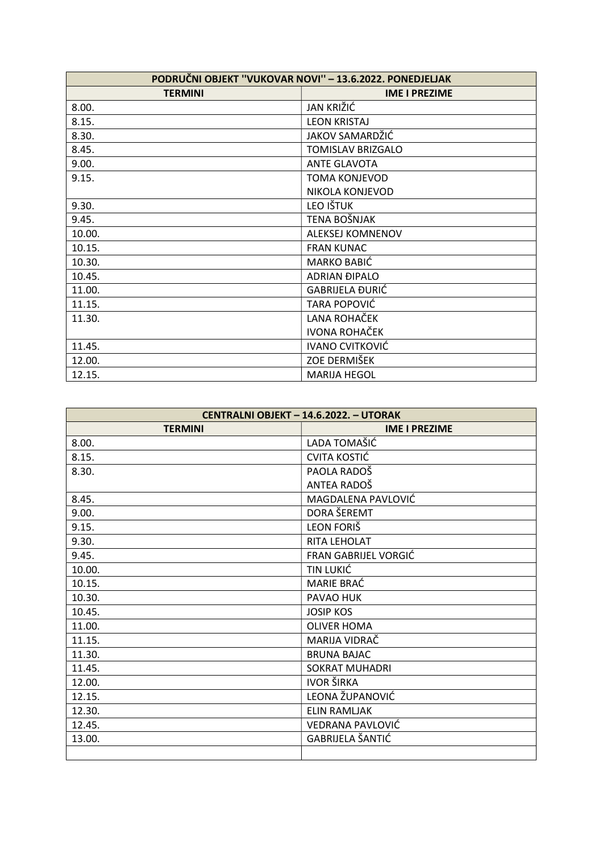| PODRUČNI OBJEKT "VUKOVAR NOVI" - 13.6.2022. PONEDJELJAK |                          |
|---------------------------------------------------------|--------------------------|
| <b>TERMINI</b>                                          | <b>IME I PREZIME</b>     |
| 8.00.                                                   | JAN KRIŽIĆ               |
| 8.15.                                                   | <b>LEON KRISTAJ</b>      |
| 8.30.                                                   | JAKOV SAMARDŽIĆ          |
| 8.45.                                                   | <b>TOMISLAV BRIZGALO</b> |
| 9.00.                                                   | <b>ANTE GLAVOTA</b>      |
| 9.15.                                                   | <b>TOMA KONJEVOD</b>     |
|                                                         | NIKOLA KONJEVOD          |
| 9.30.                                                   | LEO IŠTUK                |
| 9.45.                                                   | TENA BOŠNJAK             |
| 10.00.                                                  | <b>ALEKSEJ KOMNENOV</b>  |
| 10.15.                                                  | <b>FRAN KUNAC</b>        |
| 10.30.                                                  | MARKO BABIĆ              |
| 10.45.                                                  | <b>ADRIAN ĐIPALO</b>     |
| 11.00.                                                  | <b>GABRIJELA ĐURIĆ</b>   |
| 11.15.                                                  | TARA POPOVIĆ             |
| 11.30.                                                  | LANA ROHAČEK             |
|                                                         | <b>IVONA ROHAČEK</b>     |
| 11.45.                                                  | <b>IVANO CVITKOVIĆ</b>   |
| 12.00.                                                  | ZOE DERMIŠEK             |
| 12.15.                                                  | <b>MARIJA HEGOL</b>      |

| CENTRALNI OBJEKT - 14.6.2022. - UTORAK |                       |
|----------------------------------------|-----------------------|
| <b>TERMINI</b>                         | <b>IME I PREZIME</b>  |
| 8.00.                                  | LADA TOMAŠIĆ          |
| 8.15.                                  | <b>CVITA KOSTIĆ</b>   |
| 8.30.                                  | PAOLA RADOŠ           |
|                                        | ANTEA RADOŠ           |
| 8.45.                                  | MAGDALENA PAVLOVIĆ    |
| 9.00.                                  | DORA ŠEREMT           |
| 9.15.                                  | LEON FORIŠ            |
| 9.30.                                  | RITA LEHOLAT          |
| 9.45.                                  | FRAN GABRIJEL VORGIĆ  |
| 10.00.                                 | TIN LUKIĆ             |
| 10.15.                                 | MARIE BRAĆ            |
| 10.30.                                 | PAVAO HUK             |
| 10.45.                                 | <b>JOSIP KOS</b>      |
| 11.00.                                 | <b>OLIVER HOMA</b>    |
| 11.15.                                 | MARIJA VIDRAČ         |
| 11.30.                                 | <b>BRUNA BAJAC</b>    |
| 11.45.                                 | <b>SOKRAT MUHADRI</b> |
| 12.00.                                 | <b>IVOR ŠIRKA</b>     |
| 12.15.                                 | LEONA ŽUPANOVIĆ       |
| 12.30.                                 | <b>ELIN RAMLJAK</b>   |
| 12.45.                                 | VEDRANA PAVLOVIĆ      |
| 13.00.                                 | GABRIJELA ŠANTIĆ      |
|                                        |                       |